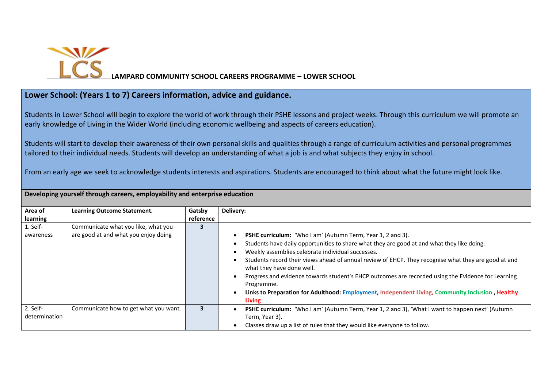

**LAMPARD COMMUNITY SCHOOL CAREERS PROGRAMME – LOWER SCHOOL** 

## **Lower School: (Years 1 to 7) Careers information, advice and guidance.**

Students in Lower School will begin to explore the world of work through their PSHE lessons and project weeks. Through this curriculum we will promote an early knowledge of Living in the Wider World (including economic wellbeing and aspects of careers education).

Students will start to develop their awareness of their own personal skills and qualities through a range of curriculum activities and personal programmes tailored to their individual needs. Students will develop an understanding of what a job is and what subjects they enjoy in school.

From an early age we seek to acknowledge students interests and aspirations. Students are encouraged to think about what the future might look like.

**Developing yourself through careers, employability and enterprise education**

| Area of       | <b>Learning Outcome Statement.</b>    | Gatsby    | Delivery:                                                                                               |
|---------------|---------------------------------------|-----------|---------------------------------------------------------------------------------------------------------|
| learning      |                                       | reference |                                                                                                         |
| 1. Self-      | Communicate what you like, what you   | 3         |                                                                                                         |
| awareness     | are good at and what you enjoy doing  |           | PSHE curriculum: 'Who I am' (Autumn Term, Year 1, 2 and 3).                                             |
|               |                                       |           | Students have daily opportunities to share what they are good at and what they like doing.              |
|               |                                       |           | Weekly assemblies celebrate individual successes.                                                       |
|               |                                       |           | Students record their views ahead of annual review of EHCP. They recognise what they are good at and    |
|               |                                       |           | what they have done well.                                                                               |
|               |                                       |           | Progress and evidence towards student's EHCP outcomes are recorded using the Evidence for Learning      |
|               |                                       |           | Programme.                                                                                              |
|               |                                       |           | Links to Preparation for Adulthood: Employment, Independent Living, Community Inclusion, Healthy        |
|               |                                       |           | <b>Living</b>                                                                                           |
| 2. Self-      | Communicate how to get what you want. | 3         | <b>PSHE curriculum:</b> 'Who I am' (Autumn Term, Year 1, 2 and 3), 'What I want to happen next' (Autumn |
| determination |                                       |           | Term, Year 3).                                                                                          |
|               |                                       |           | Classes draw up a list of rules that they would like everyone to follow.                                |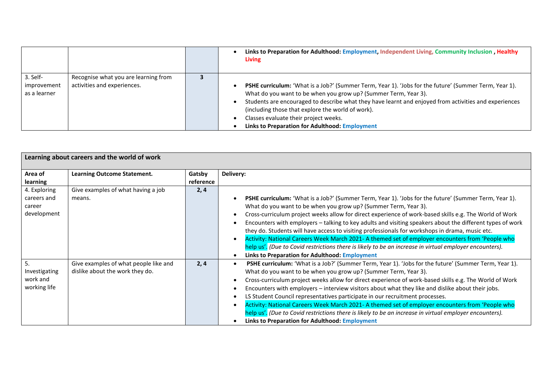|                                         |                                                                     | Links to Preparation for Adulthood: Employment, Independent Living, Community Inclusion, Healthy<br><b>Living</b>                                                                                                                                                                                                                                                                                                                 |
|-----------------------------------------|---------------------------------------------------------------------|-----------------------------------------------------------------------------------------------------------------------------------------------------------------------------------------------------------------------------------------------------------------------------------------------------------------------------------------------------------------------------------------------------------------------------------|
| 3. Self-<br>improvement<br>as a learner | Recognise what you are learning from<br>activities and experiences. | PSHE curriculum: 'What is a Job?' (Summer Term, Year 1). 'Jobs for the future' (Summer Term, Year 1).<br>What do you want to be when you grow up? (Summer Term, Year 3).<br>Students are encouraged to describe what they have learnt and enjoyed from activities and experiences<br>(including those that explore the world of work).<br>Classes evaluate their project weeks.<br>Links to Preparation for Adulthood: Employment |

| Learning about careers and the world of work |                                       |           |                                                                                                                        |
|----------------------------------------------|---------------------------------------|-----------|------------------------------------------------------------------------------------------------------------------------|
| Area of                                      | <b>Learning Outcome Statement.</b>    | Gatsby    | Delivery:                                                                                                              |
| learning                                     |                                       | reference |                                                                                                                        |
| 4. Exploring                                 | Give examples of what having a job    | 2, 4      |                                                                                                                        |
| careers and                                  | means.                                |           | PSHE curriculum: 'What is a Job?' (Summer Term, Year 1). 'Jobs for the future' (Summer Term, Year 1).                  |
| career                                       |                                       |           | What do you want to be when you grow up? (Summer Term, Year 3).                                                        |
| development                                  |                                       |           | Cross-curriculum project weeks allow for direct experience of work-based skills e.g. The World of Work                 |
|                                              |                                       |           | Encounters with employers - talking to key adults and visiting speakers about the different types of work<br>$\bullet$ |
|                                              |                                       |           | they do. Students will have access to visiting professionals for workshops in drama, music etc.                        |
|                                              |                                       |           | Activity: National Careers Week March 2021- A themed set of employer encounters from 'People who<br>$\bullet$          |
|                                              |                                       |           | help us'. (Due to Covid restrictions there is likely to be an increase in virtual employer encounters).                |
|                                              |                                       |           | <b>Links to Preparation for Adulthood: Employment</b>                                                                  |
| 5.                                           | Give examples of what people like and | 2,4       | PSHE curriculum: 'What is a Job?' (Summer Term, Year 1). 'Jobs for the future' (Summer Term, Year 1).<br>$\bullet$     |
| Investigating                                | dislike about the work they do.       |           | What do you want to be when you grow up? (Summer Term, Year 3).                                                        |
| work and                                     |                                       |           | Cross-curriculum project weeks allow for direct experience of work-based skills e.g. The World of Work                 |
| working life                                 |                                       |           | Encounters with employers - interview visitors about what they like and dislike about their jobs.<br>$\bullet$         |
|                                              |                                       |           | LS Student Council representatives participate in our recruitment processes.<br>$\bullet$                              |
|                                              |                                       |           | Activity: National Careers Week March 2021- A themed set of employer encounters from 'People who<br>$\bullet$          |
|                                              |                                       |           | help us'. (Due to Covid restrictions there is likely to be an increase in virtual employer encounters).                |
|                                              |                                       |           | <b>Links to Preparation for Adulthood: Employment</b>                                                                  |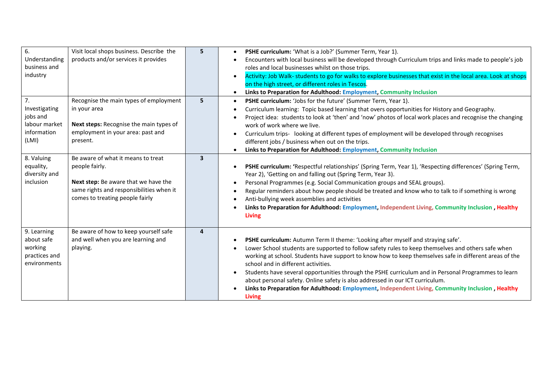| 6.<br>Understanding<br>business and<br>industry                                        | Visit local shops business. Describe the<br>products and/or services it provides                                                                                                         | 5              | PSHE curriculum: 'What is a Job?' (Summer Term, Year 1).<br>$\bullet$<br>Encounters with local business will be developed through Curriculum trips and links made to people's job<br>roles and local businesses whilst on those trips.<br>Activity: Job Walk- students to go for walks to explore businesses that exist in the local area. Look at shops<br>$\bullet$<br>on the high street, or different roles in Tescos.<br>Links to Preparation for Adulthood: Employment, Community Inclusion                                                                                                                                                                 |
|----------------------------------------------------------------------------------------|------------------------------------------------------------------------------------------------------------------------------------------------------------------------------------------|----------------|-------------------------------------------------------------------------------------------------------------------------------------------------------------------------------------------------------------------------------------------------------------------------------------------------------------------------------------------------------------------------------------------------------------------------------------------------------------------------------------------------------------------------------------------------------------------------------------------------------------------------------------------------------------------|
| 7.<br>Investigating<br>jobs and<br>labour market<br>information<br>(LMI)<br>8. Valuing | Recognise the main types of employment<br>in your area<br>Next steps: Recognise the main types of<br>employment in your area: past and<br>present.<br>Be aware of what it means to treat | 5<br>3         | PSHE curriculum: 'Jobs for the future' (Summer Term, Year 1).<br>$\bullet$<br>Curriculum learning: Topic based learning that overs opportunities for History and Geography.<br>Project idea: students to look at 'then' and 'now' photos of local work places and recognise the changing<br>work of work where we live.<br>Curriculum trips- looking at different types of employment will be developed through recognises<br>different jobs / business when out on the trips.<br>Links to Preparation for Adulthood: Employment, Community Inclusion                                                                                                             |
| equality,<br>diversity and<br>inclusion                                                | people fairly.<br>Next step: Be aware that we have the<br>same rights and responsibilities when it<br>comes to treating people fairly                                                    |                | PSHE curriculum: 'Respectful relationships' (Spring Term, Year 1), 'Respecting differences' (Spring Term,<br>Year 2), 'Getting on and falling out (Spring Term, Year 3).<br>Personal Programmes (e.g. Social Communication groups and SEAL groups).<br>$\bullet$<br>Regular reminders about how people should be treated and know who to talk to if something is wrong<br>Anti-bullying week assemblies and activities<br>Links to Preparation for Adulthood: Employment, Independent Living, Community Inclusion, Healthy<br><b>Living</b>                                                                                                                       |
| 9. Learning<br>about safe<br>working<br>practices and<br>environments                  | Be aware of how to keep yourself safe<br>and well when you are learning and<br>playing.                                                                                                  | $\overline{4}$ | PSHE curriculum: Autumn Term II theme: 'Looking after myself and straying safe'.<br>Lower School students are supported to follow safety rules to keep themselves and others safe when<br>working at school. Students have support to know how to keep themselves safe in different areas of the<br>school and in different activities.<br>Students have several opportunities through the PSHE curriculum and in Personal Programmes to learn<br>$\bullet$<br>about personal safety. Online safety is also addressed in our ICT curriculum.<br>Links to Preparation for Adulthood: Employment, Independent Living, Community Inclusion, Healthy<br><b>Living</b> |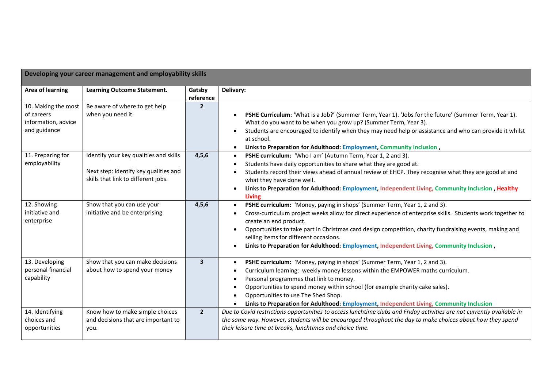| Developing your career management and employability skills               |                                                                                                                        |                     |                                                                                                                                                                                                                                                                                                                                                                                                                                                                    |
|--------------------------------------------------------------------------|------------------------------------------------------------------------------------------------------------------------|---------------------|--------------------------------------------------------------------------------------------------------------------------------------------------------------------------------------------------------------------------------------------------------------------------------------------------------------------------------------------------------------------------------------------------------------------------------------------------------------------|
| <b>Area of learning</b>                                                  | <b>Learning Outcome Statement.</b>                                                                                     | Gatsby<br>reference | Delivery:                                                                                                                                                                                                                                                                                                                                                                                                                                                          |
| 10. Making the most<br>of careers<br>information, advice<br>and guidance | Be aware of where to get help<br>when you need it.                                                                     | $\overline{2}$      | PSHE Curriculum: 'What is a Job?' (Summer Term, Year 1). 'Jobs for the future' (Summer Term, Year 1).<br>What do you want to be when you grow up? (Summer Term, Year 3).<br>Students are encouraged to identify when they may need help or assistance and who can provide it whilst<br>at school.<br>Links to Preparation for Adulthood: Employment, Community Inclusion,<br>$\bullet$                                                                             |
| 11. Preparing for<br>employability                                       | Identify your key qualities and skills<br>Next step: identify key qualities and<br>skills that link to different jobs. | 4, 5, 6             | PSHE curriculum: 'Who I am' (Autumn Term, Year 1, 2 and 3).<br>$\bullet$<br>Students have daily opportunities to share what they are good at.<br>Students record their views ahead of annual review of EHCP. They recognise what they are good at and<br>what they have done well.<br>Links to Preparation for Adulthood: Employment, Independent Living, Community Inclusion, Healthy<br><b>Living</b>                                                            |
| 12. Showing<br>initiative and<br>enterprise                              | Show that you can use your<br>initiative and be enterprising                                                           | 4, 5, 6             | PSHE curriculum: 'Money, paying in shops' (Summer Term, Year 1, 2 and 3).<br>Cross-curriculum project weeks allow for direct experience of enterprise skills. Students work together to<br>create an end product.<br>Opportunities to take part in Christmas card design competition, charity fundraising events, making and<br>selling items for different occasions.<br>Links to Preparation for Adulthood: Employment, Independent Living, Community Inclusion, |
| 13. Developing<br>personal financial<br>capability                       | Show that you can make decisions<br>about how to spend your money                                                      | $\mathbf{3}$        | PSHE curriculum: 'Money, paying in shops' (Summer Term, Year 1, 2 and 3).<br>Curriculum learning: weekly money lessons within the EMPOWER maths curriculum.<br>Personal programmes that link to money.<br>Opportunities to spend money within school (for example charity cake sales).<br>$\bullet$<br>Opportunities to use The Shed Shop.<br>Links to Preparation for Adulthood: Employment, Independent Living, Community Inclusion                              |
| 14. Identifying<br>choices and<br>opportunities                          | Know how to make simple choices<br>and decisions that are important to<br>you.                                         | $\overline{2}$      | Due to Covid restrictions opportunities to access lunchtime clubs and Friday activities are not currently available in<br>the same way. However, students will be encouraged throughout the day to make choices about how they spend<br>their leisure time at breaks, lunchtimes and choice time.                                                                                                                                                                  |